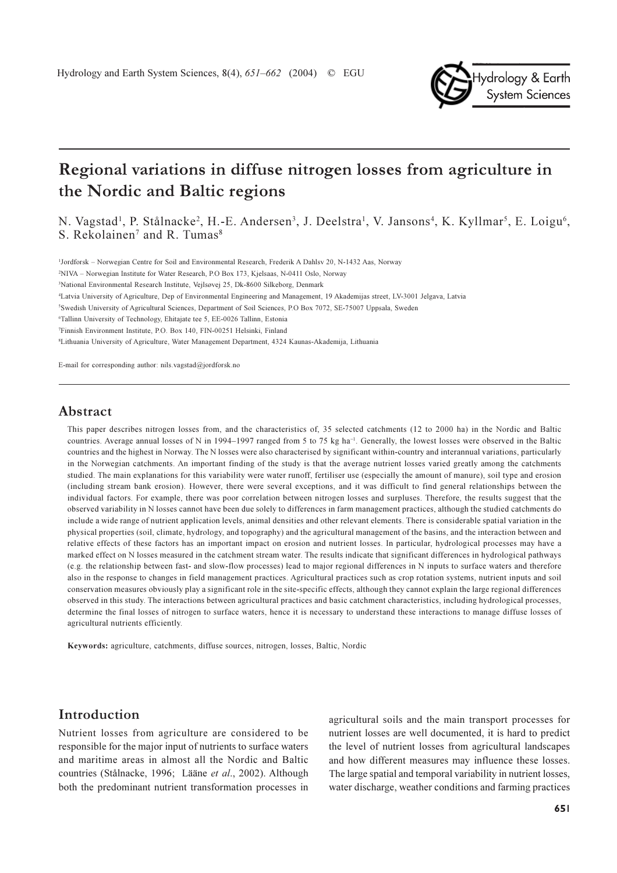

# Regional variations in diffuse nitrogen losses from agriculture in the Nordic and Baltic regions

N. Vagstad<sup>1</sup>, P. Stålnacke<sup>2</sup>, H.-E. Andersen<sup>3</sup>, J. Deelstra<sup>1</sup>, V. Jansons<sup>4</sup>, K. Kyllmar<sup>5</sup>, E. Loigu<sup>6</sup>, S. Rekolainen<sup>7</sup> and R. Tumas<sup>8</sup>

<sup>1</sup>Jordforsk – Norwegian Centre for Soil and Environmental Research, Frederik A Dahlsv 20, N-1432 Aas, Norway

<sup>2</sup>NIVA - Norwegian Institute for Water Research, P.O Box 173, Kjelsaas, N-0411 Oslo, Norway

<sup>3</sup>National Environmental Research Institute, Vejlsøvej 25, Dk-8600 Silkeborg, Denmark

<sup>4</sup>Latvia University of Agriculture, Dep of Environmental Engineering and Management, 19 Akademijas street, LV-3001 Jelgava, Latvia

<sup>5</sup>Swedish University of Agricultural Sciences, Department of Soil Sciences, P.O Box 7072, SE-75007 Uppsala, Sweden

<sup>6</sup>Tallinn University of Technology, Ehitajate tee 5, EE-0026 Tallinn, Estonia

7Finnish Environment Institute, P.O. Box 140, FIN-00251 Helsinki, Finland

<sup>8</sup>Lithuania University of Agriculture, Water Management Department, 4324 Kaunas-Akademija, Lithuania

E-mail for corresponding author: nils.vagstad@jordforsk.no

#### Abstract

This paper describes nitrogen losses from, and the characteristics of, 35 selected catchments (12 to 2000 ha) in the Nordic and Baltic countries. Average annual losses of N in 1994-1997 ranged from 5 to 75 kg ha<sup>-1</sup>. Generally, the lowest losses were observed in the Baltic countries and the highest in Norway. The N losses were also characterised by significant within-country and interannual variations, particularly in the Norwegian catchments. An important finding of the study is that the average nutrient losses varied greatly among the catchments studied. The main explanations for this variability were water runoff, fertiliser use (especially the amount of manure), soil type and erosion (including stream bank erosion). However, there were several exceptions, and it was difficult to find general relationships between the individual factors. For example, there was poor correlation between nitrogen losses and surpluses. Therefore, the results suggest that the observed variability in N losses cannot have been due solely to differences in farm management practices, although the studied catchments do include a wide range of nutrient application levels, animal densities and other relevant elements. There is considerable spatial variation in the physical properties (soil, climate, hydrology, and topography) and the agricultural management of the basins, and the interaction between and relative effects of these factors has an important impact on erosion and nutrient losses. In particular, hydrological processes may have a marked effect on N losses measured in the catchment stream water. The results indicate that significant differences in hydrological pathways (e.g. the relationship between fast- and slow-flow processes) lead to major regional differences in N inputs to surface waters and therefore also in the response to changes in field management practices. Agricultural practices such as crop rotation systems, nutrient inputs and soil conservation measures obviously play a significant role in the site-specific effects, although they cannot explain the large regional differences observed in this study. The interactions between agricultural practices and basic catchment characteristics, including hydrological processes, determine the final losses of nitrogen to surface waters, hence it is necessary to understand these interactions to manage diffuse losses of agricultural nutrients efficiently.

Keywords: agriculture, catchments, diffuse sources, nitrogen, losses, Baltic, Nordic

## Introduction

Nutrient losses from agriculture are considered to be responsible for the major input of nutrients to surface waters and maritime areas in almost all the Nordic and Baltic countries (Stålnacke, 1996; Lääne et al., 2002). Although both the predominant nutrient transformation processes in agricultural soils and the main transport processes for nutrient losses are well documented, it is hard to predict the level of nutrient losses from agricultural landscapes and how different measures may influence these losses. The large spatial and temporal variability in nutrient losses, water discharge, weather conditions and farming practices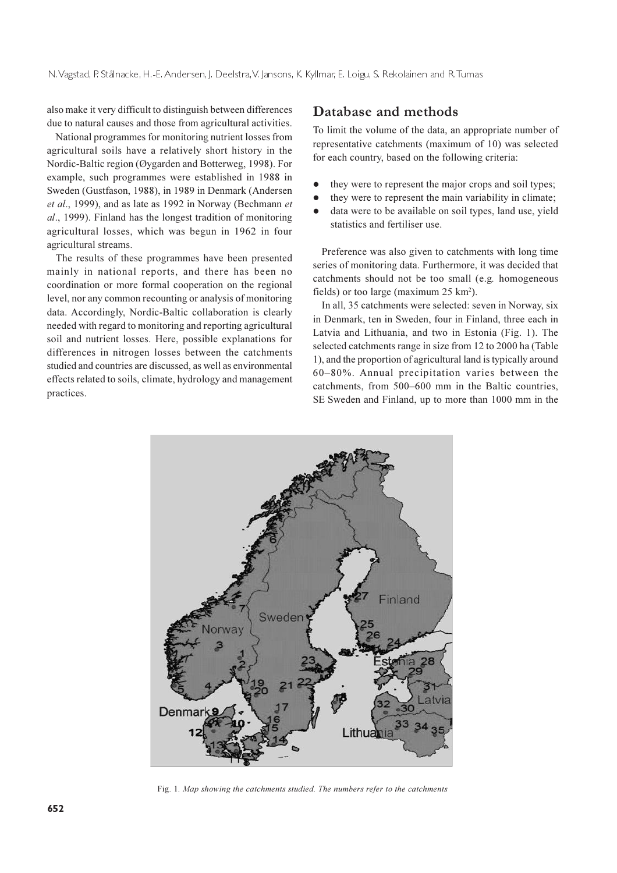also make it very difficult to distinguish between differences due to natural causes and those from agricultural activities.

National programmes for monitoring nutrient losses from agricultural soils have a relatively short history in the Nordic-Baltic region (Øygarden and Botterweg, 1998). For example, such programmes were established in 1988 in Sweden (Gustfason, 1988), in 1989 in Denmark (Andersen et al., 1999), and as late as 1992 in Norway (Bechmann et al., 1999). Finland has the longest tradition of monitoring agricultural losses, which was begun in 1962 in four agricultural streams.

The results of these programmes have been presented mainly in national reports, and there has been no coordination or more formal cooperation on the regional level, nor any common recounting or analysis of monitoring data. Accordingly, Nordic-Baltic collaboration is clearly needed with regard to monitoring and reporting agricultural soil and nutrient losses. Here, possible explanations for differences in nitrogen losses between the catchments studied and countries are discussed, as well as environmental effects related to soils, climate, hydrology and management practices.

# Database and methods

To limit the volume of the data, an appropriate number of representative catchments (maximum of 10) was selected for each country, based on the following criteria:

- they were to represent the major crops and soil types;
- they were to represent the main variability in climate;
- data were to be available on soil types, land use, yield statistics and fertiliser use.

Preference was also given to catchments with long time series of monitoring data. Furthermore, it was decided that catchments should not be too small (e.g. homogeneous fields) or too large (maximum  $25 \text{ km}^2$ ).

In all, 35 catchments were selected: seven in Norway, six in Denmark, ten in Sweden, four in Finland, three each in Latvia and Lithuania, and two in Estonia (Fig. 1). The selected catchments range in size from 12 to 2000 ha (Table 1), and the proportion of agricultural land is typically around 60-80%. Annual precipitation varies between the catchments, from 500–600 mm in the Baltic countries, SE Sweden and Finland, up to more than 1000 mm in the



Fig. 1. Map showing the catchments studied. The numbers refer to the catchments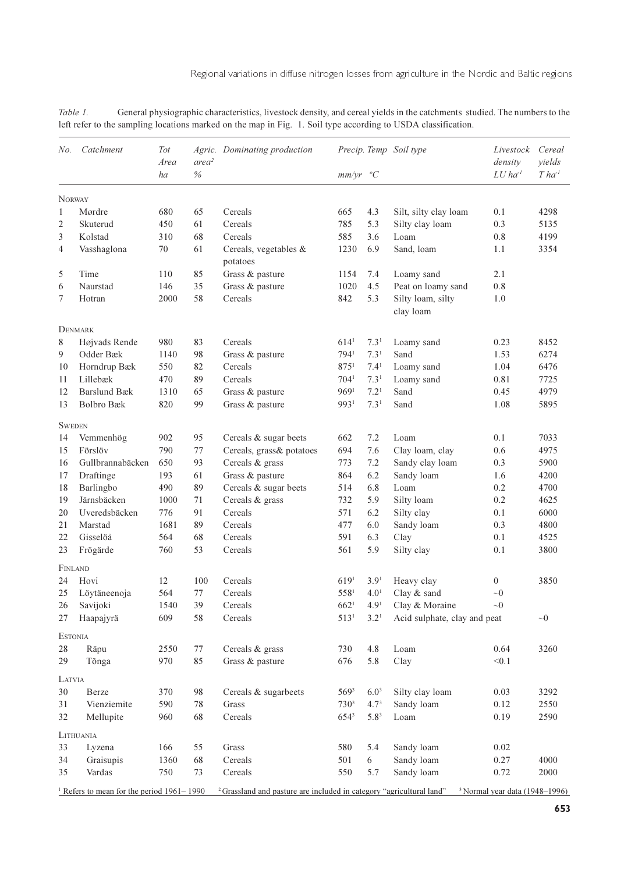Table 1. General physiographic characteristics, livestock density, and cereal yields in the catchments studied. The numbers to the left refer to the sampling locations marked on the map in Fig. 1. Soil type according to USDA classification.

| No.            | Catchment           | Tot<br>Area | area <sup>2</sup> | Agric. Dominating production                                                                                                                                                    |                  |                  | Precip. Temp Soil type                | Livestock<br>density  | Cereal<br>yields     |
|----------------|---------------------|-------------|-------------------|---------------------------------------------------------------------------------------------------------------------------------------------------------------------------------|------------------|------------------|---------------------------------------|-----------------------|----------------------|
|                |                     | ha          | $\%$              |                                                                                                                                                                                 | $mm/yr$ °C       |                  |                                       | $LU$ ha <sup>-1</sup> | $T$ ha <sup>-1</sup> |
| <b>NORWAY</b>  |                     |             |                   |                                                                                                                                                                                 |                  |                  |                                       |                       |                      |
| 1              | Mørdre              | 680         | 65                | Cereals                                                                                                                                                                         | 665              | 4.3              | Silt, silty clay loam                 | 0.1                   | 4298                 |
| 2              | Skuterud            | 450         | 61                | Cereals                                                                                                                                                                         | 785              | 5.3              | Silty clay loam                       | 0.3                   | 5135                 |
| 3              | Kolstad             | 310         | 68                | Cereals                                                                                                                                                                         | 585              | 3.6              | Loam                                  | 0.8                   | 4199                 |
| 4              | Vasshaglona         | 70          | 61                | Cereals, vegetables &<br>potatoes                                                                                                                                               | 1230             | 6.9              | Sand, loam                            | 1.1                   | 3354                 |
| 5              | Time                | 110         | 85                | Grass & pasture                                                                                                                                                                 | 1154             | 7.4              | Loamy sand                            | 2.1                   |                      |
| 6              | Naurstad            | 146         | 35                | Grass & pasture                                                                                                                                                                 | 1020             | 4.5              | Peat on loamy sand                    | $0.8\,$               |                      |
| 7              | Hotran              | 2000        | 58                | Cereals                                                                                                                                                                         | 842              | 5.3              | Silty loam, silty<br>1.0<br>clay loam |                       |                      |
|                | DENMARK             |             |                   |                                                                                                                                                                                 |                  |                  |                                       |                       |                      |
| 8              | Højvads Rende       | 980         | 83                | Cereals                                                                                                                                                                         | 614 <sup>1</sup> | $7.3^{1}$        | Loamy sand                            | 0.23                  | 8452                 |
| 9              | Odder Bæk           | 1140        | 98                | Grass & pasture                                                                                                                                                                 | 794 <sup>1</sup> | $7.3^{1}$        | Sand                                  | 1.53                  | 6274                 |
| 10             | Horndrup Bæk        | 550         | 82                | Cereals                                                                                                                                                                         | 875 <sup>1</sup> | $7.4^{1}$        | Loamy sand                            | 1.04                  | 6476                 |
| 11             | Lillebæk            | 470         | 89                | Cereals                                                                                                                                                                         | 704 <sup>1</sup> | 7.3 <sup>1</sup> | Loamy sand                            | 0.81                  | 7725                 |
| 12             | <b>Barslund Bæk</b> | 1310        | 65                | Grass & pasture                                                                                                                                                                 | 969 <sup>1</sup> | $7.2^{1}$        | Sand                                  | 0.45                  | 4979                 |
| 13             | Bolbro Bæk          | 820         | 99                | Grass & pasture                                                                                                                                                                 | 9931             | $7.3^{1}$        | Sand                                  | 1.08                  | 5895                 |
| <b>SWEDEN</b>  |                     |             |                   |                                                                                                                                                                                 |                  |                  |                                       |                       |                      |
| 14             | Vemmenhög           | 902         | 95                | Cereals & sugar beets                                                                                                                                                           | 662              | 7.2              | Loam                                  | 0.1                   | 7033                 |
| 15             | Förslöv             | 790         | 77                | Cereals, grass& potatoes                                                                                                                                                        | 694              | 7.6              | Clay loam, clay                       | 0.6                   | 4975                 |
| 16             | Gullbrannabäcken    | 650         | 93                | Cereals & grass                                                                                                                                                                 | 773              | 7.2              | Sandy clay loam                       | 0.3                   | 5900                 |
| 17             | Draftinge           | 193         | 61                | Grass & pasture                                                                                                                                                                 | 864              | 6.2              | Sandy loam                            | 1.6                   | 4200                 |
| 18             | Barlingbo           | 490         | 89                | Cereals & sugar beets                                                                                                                                                           | 514              | 6.8              | Loam                                  | 0.2                   | 4700                 |
| 19             | Järnsbäcken         | 1000        | 71                | Cereals & grass                                                                                                                                                                 | 732              | 5.9              | Silty loam                            | 0.2                   | 4625                 |
| 20             | Uveredsbäcken       | 776         | 91                | Cereals                                                                                                                                                                         | 571              | 6.2              | Silty clay                            | 0.1                   | 6000                 |
| 21             | Marstad             | 1681        | 89                | Cereals                                                                                                                                                                         | 477              | 6.0              | Sandy loam                            | 0.3                   | 4800                 |
| 22             | Gisselöå            | 564         | 68                | Cereals                                                                                                                                                                         | 591              | 6.3              | Clay                                  | 0.1                   | 4525                 |
| 23             | Frögärde            | 760         | 53                | Cereals                                                                                                                                                                         | 561              | 5.9              | Silty clay                            | 0.1                   | 3800                 |
| FINLAND        |                     |             |                   |                                                                                                                                                                                 |                  |                  |                                       |                       |                      |
| 24             | Hovi                | 12          | 100               | Cereals                                                                                                                                                                         | 619 <sup>1</sup> | 3.9 <sup>1</sup> | Heavy clay                            | $\boldsymbol{0}$      | 3850                 |
| 25             | Löytäneenoja        | 564         | 77                | Cereals                                                                                                                                                                         | 5581             | 4.0 <sup>1</sup> | Clay & sand                           | $\sim 0$              |                      |
| 26             | Savijoki            | 1540        | 39                | Cereals                                                                                                                                                                         | 662 <sup>1</sup> | 4.9 <sup>1</sup> | Clay & Moraine                        | $\sim 0$              |                      |
| 27             | Haapajyrä           | 609         | 58                | Cereals                                                                                                                                                                         | 513 <sup>1</sup> | $3.2^{1}$        | Acid sulphate, clay and peat          |                       | ${\sim}0$            |
| <b>ESTONIA</b> |                     |             |                   |                                                                                                                                                                                 |                  |                  |                                       |                       |                      |
| 28             | Räpu                | 2550        | 77                | Cereals & grass                                                                                                                                                                 | 730              | 4.8              | Loam                                  | 0.64                  | 3260                 |
| 29             | Tõnga               | 970         | 85                | Grass & pasture                                                                                                                                                                 | 676              | 5.8              | Clay                                  | < 0.1                 |                      |
| LATVIA         |                     |             |                   |                                                                                                                                                                                 |                  |                  |                                       |                       |                      |
| 30             | Berze               | 370         | 98                | Cereals & sugarbeets                                                                                                                                                            | 569 <sup>3</sup> | 6.0 <sup>3</sup> | Silty clay loam                       | 0.03                  | 3292                 |
| 31             | Vienziemite         | 590         | 78                | Grass                                                                                                                                                                           | $730^{3}$        | 4.7 <sup>3</sup> | Sandy loam                            | 0.12                  | 2550                 |
| 32             | Mellupite           | 960         | 68                | Cereals                                                                                                                                                                         | 6543             | $5.8^{3}$        | Loam                                  | 0.19                  | 2590                 |
|                | LITHUANIA           |             |                   |                                                                                                                                                                                 |                  |                  |                                       |                       |                      |
| 33             | Lyzena              | 166         | 55                | Grass                                                                                                                                                                           | 580              | 5.4              | Sandy loam                            | 0.02                  |                      |
| 34             | Graisupis           | 1360        | 68                | Cereals                                                                                                                                                                         | 501              | 6                | Sandy loam                            | 0.27                  | 4000                 |
| 35             | Vardas              | 750         | 73                | Cereals                                                                                                                                                                         | 550              | 5.7              | Sandy loam                            | 0.72                  | 2000                 |
|                |                     |             |                   | <sup>1</sup> Refers to mean for the period 1961–1990 $\frac{1}{2}$ Grassland and pasture are included in category "agricultural land" <sup>3</sup> Normal year data (1948–1996) |                  |                  |                                       |                       |                      |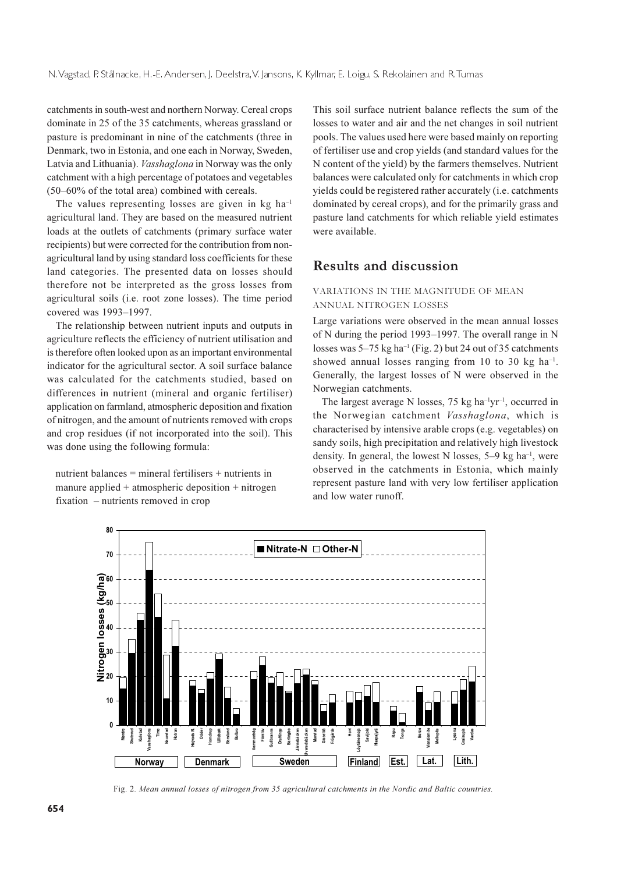catchments in south-west and northern Norway. Cereal crops dominate in 25 of the 35 catchments, whereas grassland or pasture is predominant in nine of the catchments (three in Denmark, two in Estonia, and one each in Norway, Sweden, Latvia and Lithuania). Vasshaglona in Norway was the only catchment with a high percentage of potatoes and vegetables  $(50-60\% \text{ of the total area})$  combined with cereals.

The values representing losses are given in  $kg \text{ ha}^{-1}$ agricultural land. They are based on the measured nutrient loads at the outlets of catchments (primary surface water recipients) but were corrected for the contribution from nonagricultural land by using standard loss coefficients for these land categories. The presented data on losses should therefore not be interpreted as the gross losses from agricultural soils (i.e. root zone losses). The time period covered was 1993-1997.

The relationship between nutrient inputs and outputs in agriculture reflects the efficiency of nutrient utilisation and is therefore often looked upon as an important environmental indicator for the agricultural sector. A soil surface balance was calculated for the catchments studied, based on differences in nutrient (mineral and organic fertiliser) application on farmland, atmospheric deposition and fixation of nitrogen, and the amount of nutrients removed with crops and crop residues (if not incorporated into the soil). This was done using the following formula:

nutrient balances = mineral fertilisers  $+$  nutrients in manure applied  $+$  atmospheric deposition  $+$  nitrogen fixation  $-$  nutrients removed in crop

This soil surface nutrient balance reflects the sum of the losses to water and air and the net changes in soil nutrient pools. The values used here were based mainly on reporting of fertiliser use and crop yields (and standard values for the N content of the yield) by the farmers themselves. Nutrient balances were calculated only for catchments in which crop yields could be registered rather accurately (i.e. catchments dominated by cereal crops), and for the primarily grass and pasture land catchments for which reliable yield estimates were available.

# **Results and discussion**

### VARIATIONS IN THE MAGNITUDE OF MEAN ANNUAL NITROGEN LOSSES

Large variations were observed in the mean annual losses of N during the period 1993–1997. The overall range in N losses was  $5-75$  kg ha<sup>-1</sup> (Fig. 2) but 24 out of 35 catchments showed annual losses ranging from 10 to 30 kg ha<sup>-1</sup>. Generally, the largest losses of N were observed in the Norwegian catchments.

The largest average N losses, 75 kg ha<sup>-1</sup>yr<sup>-1</sup>, occurred in the Norwegian catchment Vasshaglona, which is characterised by intensive arable crops (e.g. vegetables) on sandy soils, high precipitation and relatively high livestock density. In general, the lowest N losses,  $5-9$  kg ha<sup>-1</sup>, were observed in the catchments in Estonia, which mainly represent pasture land with very low fertiliser application and low water runoff.



Fig. 2. Mean annual losses of nitrogen from 35 agricultural catchments in the Nordic and Baltic countries.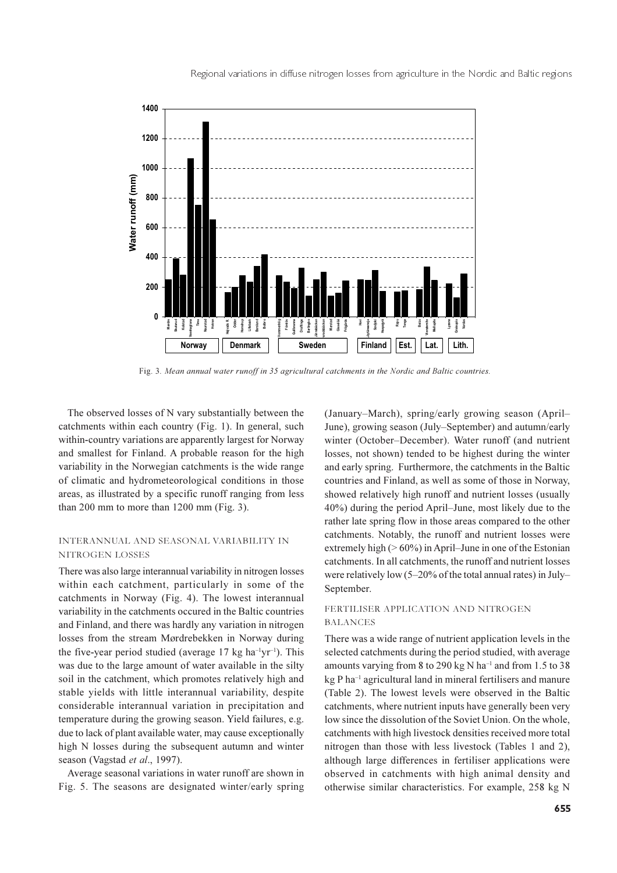Regional variations in diffuse nitrogen losses from agriculture in the Nordic and Baltic regions



Fig. 3. Mean annual water runoff in 35 agricultural catchments in the Nordic and Baltic countries.

The observed losses of N vary substantially between the catchments within each country (Fig. 1). In general, such within-country variations are apparently largest for Norway and smallest for Finland. A probable reason for the high variability in the Norwegian catchments is the wide range of climatic and hydrometeorological conditions in those areas, as illustrated by a specific runoff ranging from less than 200 mm to more than 1200 mm (Fig. 3).

#### INTERANNUAL AND SEASONAL VARIABILITY IN NITROGEN LOSSES

There was also large interannual variability in nitrogen losses within each catchment, particularly in some of the catchments in Norway (Fig. 4). The lowest interannual variability in the catchments occured in the Baltic countries and Finland, and there was hardly any variation in nitrogen losses from the stream Mørdrebekken in Norway during the five-year period studied (average  $17 \text{ kg} \text{ ha}^{-1} \text{yr}^{-1}$ ). This was due to the large amount of water available in the silty soil in the catchment, which promotes relatively high and stable yields with little interannual variability, despite considerable interannual variation in precipitation and temperature during the growing season. Yield failures, e.g. due to lack of plant available water, may cause exceptionally high N losses during the subsequent autumn and winter season (Vagstad et al., 1997).

Average seasonal variations in water runoff are shown in Fig. 5. The seasons are designated winter/early spring (January-March), spring/early growing season (April-June), growing season (July–September) and autumn/early winter (October-December). Water runoff (and nutrient losses, not shown) tended to be highest during the winter and early spring. Furthermore, the catchments in the Baltic countries and Finland, as well as some of those in Norway, showed relatively high runoff and nutrient losses (usually 40%) during the period April–June, most likely due to the rather late spring flow in those areas compared to the other catchments. Notably, the runoff and nutrient losses were extremely high ( $> 60\%$ ) in April–June in one of the Estonian catchments. In all catchments, the runoff and nutrient losses were relatively low  $(5-20\%$  of the total annual rates) in July-September.

# FERTILISER APPLICATION AND NITROGEN **BALANCES**

There was a wide range of nutrient application levels in the selected catchments during the period studied, with average amounts varying from 8 to 290 kg N ha<sup>-1</sup> and from 1.5 to 38 kg P ha<sup>-1</sup> agricultural land in mineral fertilisers and manure (Table 2). The lowest levels were observed in the Baltic catchments, where nutrient inputs have generally been very low since the dissolution of the Soviet Union. On the whole. catchments with high livestock densities received more total nitrogen than those with less livestock (Tables 1 and 2), although large differences in fertiliser applications were observed in catchments with high animal density and otherwise similar characteristics. For example, 258 kg N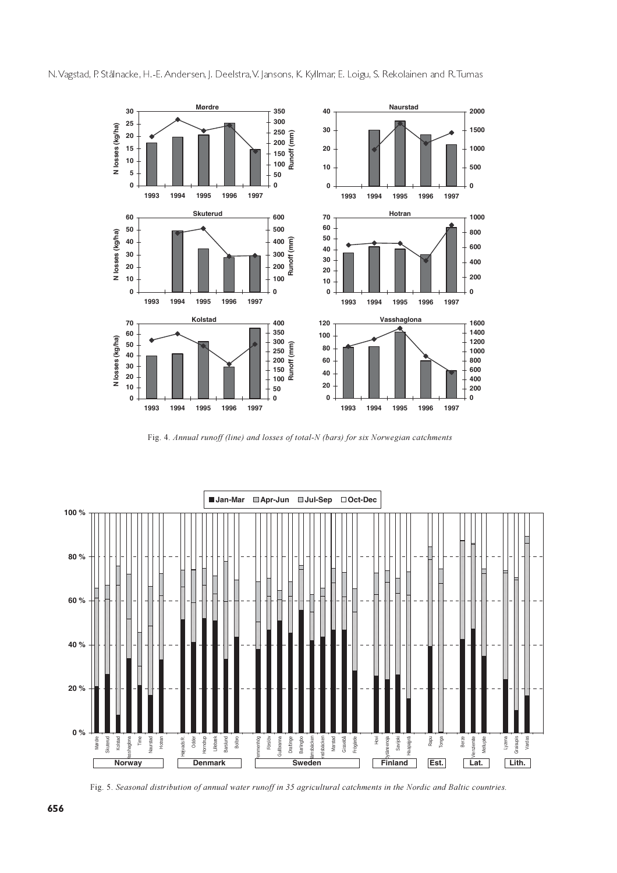

N. Vagstad, P. Stålnacke, H.-E. Andersen, J. Deelstra, V. Jansons, K. Kyllmar, E. Loigu, S. Rekolainen and R.Tumas

Fig. 4. Annual runoff (line) and losses of total-N (bars) for six Norwegian catchments



Fig. 5. Seasonal distribution of annual water runoff in 35 agricultural catchments in the Nordic and Baltic countries.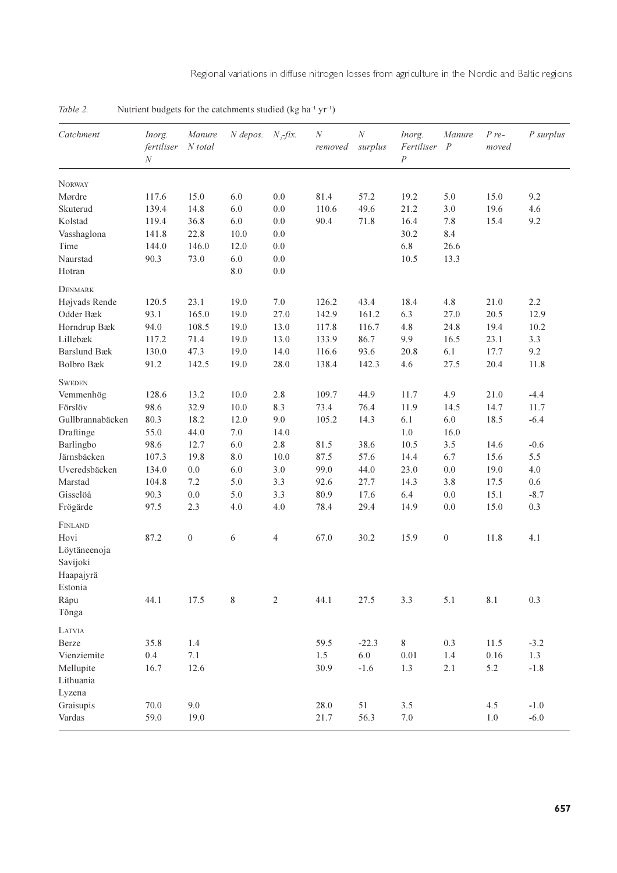| Catchment                                                | Inorg.<br>fertiliser<br>$\boldsymbol{N}$ | Manure<br>N total | $N$ depos.  | $N_{2}$ -fix. | $\boldsymbol{N}$<br>removed | $\cal N$<br>surplus | Inorg.<br>Fertiliser<br>$\cal P$ | Manure<br>$\boldsymbol{P}$ | $P$ re-<br>moved | $P$ surplus |
|----------------------------------------------------------|------------------------------------------|-------------------|-------------|---------------|-----------------------------|---------------------|----------------------------------|----------------------------|------------------|-------------|
| <b>NORWAY</b>                                            |                                          |                   |             |               |                             |                     |                                  |                            |                  |             |
| Mørdre                                                   | 117.6                                    | 15.0              | 6.0         | 0.0           | 81.4                        | 57.2                | 19.2                             | 5.0                        | 15.0             | 9.2         |
| Skuterud                                                 | 139.4                                    | 14.8              | 6.0         | 0.0           | 110.6                       | 49.6                | 21.2                             | 3.0                        | 19.6             | 4.6         |
| Kolstad                                                  | 119.4                                    | 36.8              | 6.0         | 0.0           | 90.4                        | 71.8                | 16.4                             | $7.8\,$                    | 15.4             | 9.2         |
| Vasshaglona                                              | 141.8                                    | 22.8              | 10.0        | 0.0           |                             |                     | 30.2                             | 8.4                        |                  |             |
| Time                                                     | 144.0                                    | 146.0             | 12.0        | 0.0           |                             |                     | 6.8                              | 26.6                       |                  |             |
| Naurstad                                                 | 90.3                                     | 73.0              | $6.0\,$     | 0.0           |                             |                     | 10.5                             | 13.3                       |                  |             |
| Hotran                                                   |                                          |                   | 8.0         | 0.0           |                             |                     |                                  |                            |                  |             |
| DENMARK                                                  |                                          |                   |             |               |                             |                     |                                  |                            |                  |             |
| Højvads Rende                                            | 120.5                                    | 23.1              | 19.0        | $7.0\,$       | 126.2                       | 43.4                | 18.4                             | 4.8                        | 21.0             | 2.2         |
| Odder Bæk                                                | 93.1                                     | 165.0             | 19.0        | 27.0          | 142.9                       | 161.2               | 6.3                              | 27.0                       | 20.5             | 12.9        |
| Horndrup Bæk                                             | 94.0                                     | 108.5             | 19.0        | 13.0          | 117.8                       | 116.7               | 4.8                              | 24.8                       | 19.4             | $10.2\,$    |
| Lillebæk                                                 | 117.2                                    | 71.4              | 19.0        | 13.0          | 133.9                       | 86.7                | 9.9                              | 16.5                       | 23.1             | 3.3         |
| <b>Barslund Bæk</b>                                      | 130.0                                    | 47.3              | 19.0        | 14.0          | 116.6                       | 93.6                | 20.8                             | 6.1                        | 17.7             | 9.2         |
| Bolbro Bæk                                               | 91.2                                     | 142.5             | 19.0        | 28.0          | 138.4                       | 142.3               | 4.6                              | 27.5                       | 20.4             | 11.8        |
| <b>SWEDEN</b>                                            |                                          |                   |             |               |                             |                     |                                  |                            |                  |             |
| Vemmenhög                                                | 128.6                                    | 13.2              | 10.0        | $2.8\,$       | 109.7                       | 44.9                | 11.7                             | 4.9                        | 21.0             | $-4.4$      |
| Förslöv                                                  | 98.6                                     | 32.9              | 10.0        | 8.3           | 73.4                        | 76.4                | 11.9                             | 14.5                       | 14.7             | 11.7        |
| Gullbrannabäcken                                         | 80.3                                     | 18.2              | 12.0        | $9.0\,$       | 105.2                       | 14.3                | 6.1                              | $6.0\,$                    | 18.5             | $-6.4$      |
| Draftinge                                                | 55.0                                     | 44.0              | $7.0\,$     | 14.0          |                             |                     | $1.0\,$                          | 16.0                       |                  |             |
| Barlingbo                                                | 98.6                                     | 12.7              | $6.0\,$     | $2.8\,$       | 81.5                        | 38.6                | 10.5                             | 3.5                        | 14.6             | $-0.6$      |
| Järnsbäcken                                              | 107.3                                    | 19.8              | 8.0         | 10.0          | 87.5                        | 57.6                | 14.4                             | 6.7                        | 15.6             | 5.5         |
| Uveredsbäcken                                            | 134.0                                    | $0.0\,$           | 6.0         | $3.0\,$       | 99.0                        | 44.0                | 23.0                             | $0.0\,$                    | 19.0             | 4.0         |
| Marstad                                                  | 104.8                                    | 7.2               | 5.0         | 3.3           | 92.6                        | 27.7                | 14.3                             | $3.8$                      | 17.5             | $0.6\,$     |
| Gisselöå                                                 | 90.3                                     | $0.0\,$           | 5.0         | 3.3           | 80.9                        | 17.6                | 6.4                              | $0.0\,$                    | 15.1             | $-8.7$      |
| Frögärde                                                 | 97.5                                     | 2.3               | 4.0         | 4.0           | 78.4                        | 29.4                | 14.9                             | $0.0\,$                    | 15.0             | 0.3         |
| FINLAND                                                  |                                          |                   |             |               |                             |                     |                                  |                            |                  |             |
| Hovi<br>Löytäneenoja<br>Savijoki<br>Haapajyrä<br>Estonia | 87.2                                     | $\boldsymbol{0}$  | 6           | 4             | 67.0                        | 30.2                | 15.9                             | $\boldsymbol{0}$           | 11.8             | 4.1         |
| Räpu                                                     | 44.1                                     | 17.5              | $\,$ 8 $\,$ | $\sqrt{2}$    | 44.1                        | 27.5                | 3.3                              | 5.1                        | 8.1              | 0.3         |
| Tõnga                                                    |                                          |                   |             |               |                             |                     |                                  |                            |                  |             |
| LATVIA                                                   |                                          |                   |             |               |                             |                     |                                  |                            |                  |             |
| Berze                                                    | 35.8                                     | $1.4\,$           |             |               | 59.5                        | $-22.3$             | $\,8\,$                          | $0.3\,$                    | 11.5             | $-3.2$      |
| Vienziemite                                              | 0.4                                      | 7.1               |             |               | 1.5                         | $6.0\,$             | $0.01\,$                         | 1.4                        | $0.16\,$         | 1.3         |
| Mellupite<br>Lithuania<br>Lyzena                         | 16.7                                     | 12.6              |             |               | 30.9                        | $-1.6$              | 1.3                              | 2.1                        | 5.2              | $-1.8$      |
| Graisupis                                                | 70.0                                     | 9.0               |             |               | $28.0\,$                    | 51                  | 3.5                              |                            | 4.5              | $-1.0$      |
| Vardas                                                   | 59.0                                     | 19.0              |             |               | 21.7                        | 56.3                | $7.0\,$                          |                            | $1.0\,$          | $-6.0$      |

Nutrient budgets for the catchments studied ( $kg \text{ ha}^{-1} \text{ yr}^{-1}$ ) Table 2.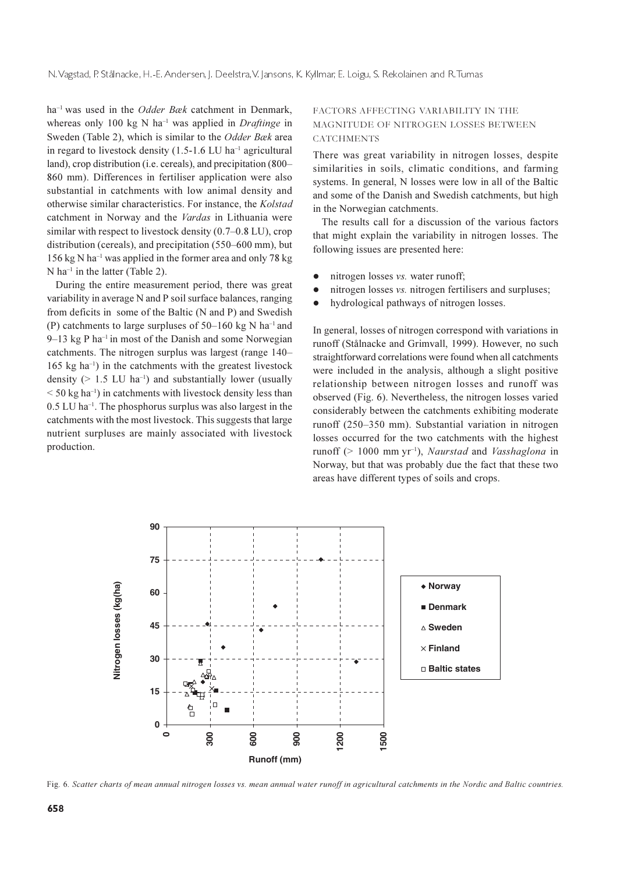ha<sup>-1</sup> was used in the *Odder Bæk* catchment in Denmark, whereas only 100 kg N ha<sup>-1</sup> was applied in *Draftinge* in Sweden (Table 2), which is similar to the *Odder Bæk* area in regard to livestock density  $(1.5\n-1.6 \text{ LU ha}^{-1})$  agricultural land), crop distribution (i.e. cereals), and precipitation (800– 860 mm). Differences in fertiliser application were also substantial in catchments with low animal density and otherwise similar characteristics. For instance, the Kolstad catchment in Norway and the Vardas in Lithuania were similar with respect to livestock density  $(0.7-0.8 \text{ LU})$ , crop distribution (cereals), and precipitation (550–600 mm), but 156 kg N ha<sup>-1</sup> was applied in the former area and only 78 kg  $N$  ha<sup>-1</sup> in the latter (Table 2).

During the entire measurement period, there was great variability in average N and P soil surface balances, ranging from deficits in some of the Baltic (N and P) and Swedish (P) catchments to large surpluses of 50–160 kg N ha<sup>-1</sup> and  $9-13$  kg P ha<sup>-1</sup> in most of the Danish and some Norwegian catchments. The nitrogen surplus was largest (range 140–  $165 \text{ kg} \text{ ha}^{-1}$ ) in the catchments with the greatest livestock density ( $> 1.5$  LU ha<sup>-1</sup>) and substantially lower (usually  $\leq$  50 kg ha<sup>-1</sup>) in catchments with livestock density less than  $0.5$  LU ha<sup>-1</sup>. The phosphorus surplus was also largest in the catchments with the most livestock. This suggests that large nutrient surpluses are mainly associated with livestock production.

#### FACTORS AFFECTING VARIABILITY IN THE MAGNITUDE OF NITROGEN LOSSES BETWEEN **CATCHMENTS**

There was great variability in nitrogen losses, despite similarities in soils, climatic conditions, and farming systems. In general, N losses were low in all of the Baltic and some of the Danish and Swedish catchments, but high in the Norwegian catchments.

The results call for a discussion of the various factors that might explain the variability in nitrogen losses. The following issues are presented here:

- nitrogen losses vs. water runoff;
- nitrogen losses vs. nitrogen fertilisers and surpluses;
- hydrological pathways of nitrogen losses.  $\bullet$

In general, losses of nitrogen correspond with variations in runoff (Stålnacke and Grimvall, 1999). However, no such straightforward correlations were found when all catchments were included in the analysis, although a slight positive relationship between nitrogen losses and runoff was observed (Fig. 6). Nevertheless, the nitrogen losses varied considerably between the catchments exhibiting moderate runoff (250–350 mm). Substantial variation in nitrogen losses occurred for the two catchments with the highest runoff (> 1000 mm yr<sup>-1</sup>), *Naurstad* and *Vasshaglona* in Norway, but that was probably due the fact that these two areas have different types of soils and crops.



Fig. 6. Scatter charts of mean annual nitrogen losses vs. mean annual water runoff in agricultural catchments in the Nordic and Baltic countries.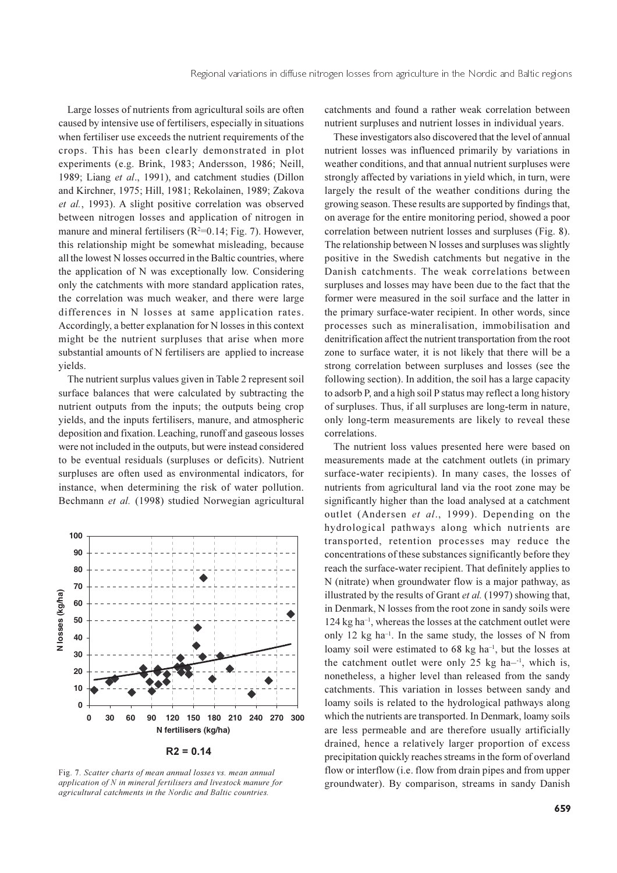Large losses of nutrients from agricultural soils are often caused by intensive use of fertilisers, especially in situations when fertiliser use exceeds the nutrient requirements of the crops. This has been clearly demonstrated in plot experiments (e.g. Brink, 1983; Andersson, 1986; Neill, 1989: Liang et al., 1991), and catchment studies (Dillon and Kirchner, 1975; Hill, 1981; Rekolainen, 1989; Zakova et al., 1993). A slight positive correlation was observed between nitrogen losses and application of nitrogen in manure and mineral fertilisers ( $R^2$ =0.14; Fig. 7). However, this relationship might be somewhat misleading, because all the lowest N losses occurred in the Baltic countries, where the application of N was exceptionally low. Considering only the catchments with more standard application rates, the correlation was much weaker, and there were large differences in N losses at same application rates. Accordingly, a better explanation for N losses in this context might be the nutrient surpluses that arise when more substantial amounts of N fertilisers are applied to increase yields.

The nutrient surplus values given in Table 2 represent soil surface balances that were calculated by subtracting the nutrient outputs from the inputs; the outputs being crop yields, and the inputs fertilisers, manure, and atmospheric deposition and fixation. Leaching, runoff and gaseous losses were not included in the outputs, but were instead considered to be eventual residuals (surpluses or deficits). Nutrient surpluses are often used as environmental indicators, for instance, when determining the risk of water pollution. Bechmann et al. (1998) studied Norwegian agricultural



 $R2 = 0.14$ 

Fig. 7. Scatter charts of mean annual losses vs. mean annual application of  $N$  in mineral fertilisers and livestock manure for agricultural catchments in the Nordic and Baltic countries.

catchments and found a rather weak correlation between nutrient surpluses and nutrient losses in individual years.

These investigators also discovered that the level of annual nutrient losses was influenced primarily by variations in weather conditions, and that annual nutrient surpluses were strongly affected by variations in yield which, in turn, were largely the result of the weather conditions during the growing season. These results are supported by findings that, on average for the entire monitoring period, showed a poor correlation between nutrient losses and surpluses (Fig. 8). The relationship between N losses and surpluses was slightly positive in the Swedish catchments but negative in the Danish catchments. The weak correlations between surpluses and losses may have been due to the fact that the former were measured in the soil surface and the latter in the primary surface-water recipient. In other words, since processes such as mineralisation, immobilisation and denitrification affect the nutrient transportation from the root zone to surface water, it is not likely that there will be a strong correlation between surpluses and losses (see the following section). In addition, the soil has a large capacity to adsorb P, and a high soil P status may reflect a long history of surpluses. Thus, if all surpluses are long-term in nature, only long-term measurements are likely to reveal these correlations

The nutrient loss values presented here were based on measurements made at the catchment outlets (in primary surface-water recipients). In many cases, the losses of nutrients from agricultural land via the root zone may be significantly higher than the load analysed at a catchment outlet (Andersen et al., 1999). Depending on the hydrological pathways along which nutrients are transported, retention processes may reduce the concentrations of these substances significantly before they reach the surface-water recipient. That definitely applies to N (nitrate) when groundwater flow is a major pathway, as illustrated by the results of Grant et al. (1997) showing that, in Denmark, N losses from the root zone in sandy soils were 124 kg ha<sup>-1</sup>, whereas the losses at the catchment outlet were only 12 kg ha<sup>-1</sup>. In the same study, the losses of N from loamy soil were estimated to 68  $kg$  ha<sup>-1</sup>, but the losses at the catchment outlet were only 25 kg ha-1, which is, nonetheless, a higher level than released from the sandy catchments. This variation in losses between sandy and loamy soils is related to the hydrological pathways along which the nutrients are transported. In Denmark, loamy soils are less permeable and are therefore usually artificially drained, hence a relatively larger proportion of excess precipitation quickly reaches streams in the form of overland flow or interflow (i.e. flow from drain pipes and from upper groundwater). By comparison, streams in sandy Danish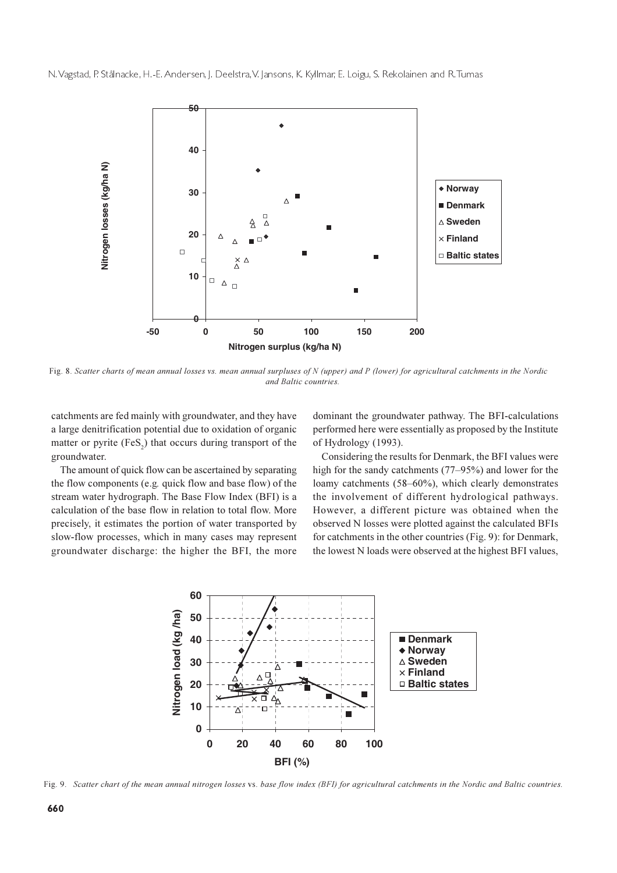

Fig. 8. Scatter charts of mean annual losses vs. mean annual surpluses of N (upper) and P (lower) for agricultural catchments in the Nordic and Baltic countries.

catchments are fed mainly with groundwater, and they have a large denitrification potential due to oxidation of organic matter or pyrite (FeS<sub>2</sub>) that occurs during transport of the groundwater.

The amount of quick flow can be ascertained by separating the flow components (e.g. quick flow and base flow) of the stream water hydrograph. The Base Flow Index (BFI) is a calculation of the base flow in relation to total flow. More precisely, it estimates the portion of water transported by slow-flow processes, which in many cases may represent groundwater discharge: the higher the BFI, the more dominant the groundwater pathway. The BFI-calculations performed here were essentially as proposed by the Institute of Hydrology (1993).

Considering the results for Denmark, the BFI values were high for the sandy catchments (77–95%) and lower for the loamy catchments (58–60%), which clearly demonstrates the involvement of different hydrological pathways. However, a different picture was obtained when the observed N losses were plotted against the calculated BFIs for catchments in the other countries (Fig. 9): for Denmark, the lowest N loads were observed at the highest BFI values,



Fig. 9. Scatter chart of the mean annual nitrogen losses vs. base flow index (BFI) for agricultural catchments in the Nordic and Baltic countries.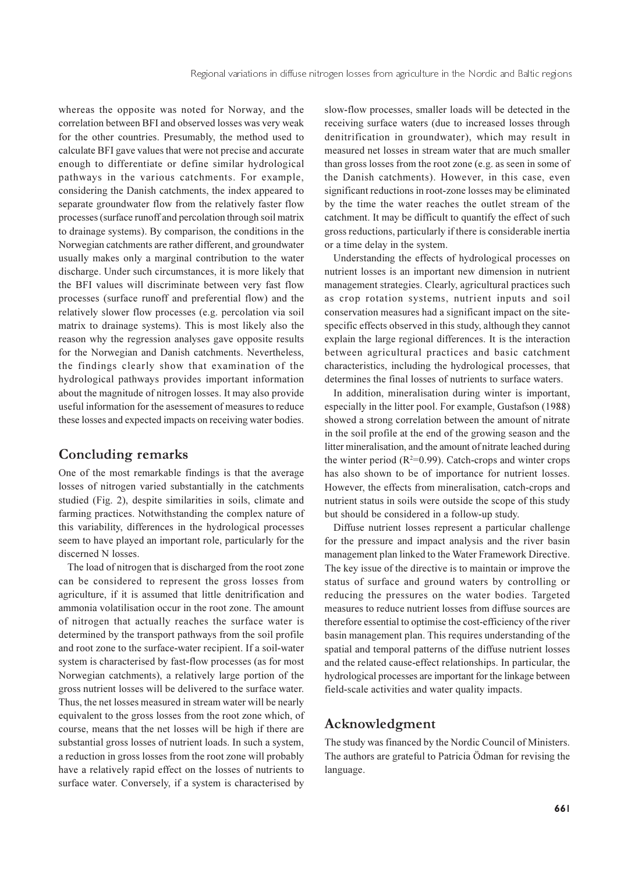whereas the opposite was noted for Norway, and the correlation between BFI and observed losses was very weak for the other countries. Presumably, the method used to calculate BFI gave values that were not precise and accurate enough to differentiate or define similar hydrological pathways in the various catchments. For example, considering the Danish catchments, the index appeared to separate groundwater flow from the relatively faster flow processes (surface runoff and percolation through soil matrix to drainage systems). By comparison, the conditions in the Norwegian catchments are rather different, and groundwater usually makes only a marginal contribution to the water discharge. Under such circumstances, it is more likely that the BFI values will discriminate between very fast flow processes (surface runoff and preferential flow) and the relatively slower flow processes (e.g. percolation via soil matrix to drainage systems). This is most likely also the reason why the regression analyses gave opposite results for the Norwegian and Danish catchments. Nevertheless, the findings clearly show that examination of the hydrological pathways provides important information about the magnitude of nitrogen losses. It may also provide useful information for the asessement of measures to reduce these losses and expected impacts on receiving water bodies.

## **Concluding remarks**

One of the most remarkable findings is that the average losses of nitrogen varied substantially in the catchments studied (Fig. 2), despite similarities in soils, climate and farming practices. Notwithstanding the complex nature of this variability, differences in the hydrological processes seem to have played an important role, particularly for the discerned N losses.

The load of nitrogen that is discharged from the root zone can be considered to represent the gross losses from agriculture, if it is assumed that little denitrification and ammonia volatilisation occur in the root zone. The amount of nitrogen that actually reaches the surface water is determined by the transport pathways from the soil profile and root zone to the surface-water recipient. If a soil-water system is characterised by fast-flow processes (as for most Norwegian catchments), a relatively large portion of the gross nutrient losses will be delivered to the surface water. Thus, the net losses measured in stream water will be nearly equivalent to the gross losses from the root zone which, of course, means that the net losses will be high if there are substantial gross losses of nutrient loads. In such a system, a reduction in gross losses from the root zone will probably have a relatively rapid effect on the losses of nutrients to surface water. Conversely, if a system is characterised by

slow-flow processes, smaller loads will be detected in the receiving surface waters (due to increased losses through denitrification in groundwater), which may result in measured net losses in stream water that are much smaller than gross losses from the root zone (e.g. as seen in some of the Danish catchments). However, in this case, even significant reductions in root-zone losses may be eliminated by the time the water reaches the outlet stream of the catchment. It may be difficult to quantify the effect of such gross reductions, particularly if there is considerable inertia or a time delay in the system.

Understanding the effects of hydrological processes on nutrient losses is an important new dimension in nutrient management strategies. Clearly, agricultural practices such as crop rotation systems, nutrient inputs and soil conservation measures had a significant impact on the sitespecific effects observed in this study, although they cannot explain the large regional differences. It is the interaction between agricultural practices and basic catchment characteristics, including the hydrological processes, that determines the final losses of nutrients to surface waters.

In addition, mineralisation during winter is important, especially in the litter pool. For example, Gustafson (1988) showed a strong correlation between the amount of nitrate in the soil profile at the end of the growing season and the litter mineralisation, and the amount of nitrate leached during the winter period ( $R^2=0.99$ ). Catch-crops and winter crops has also shown to be of importance for nutrient losses. However, the effects from mineralisation, catch-crops and nutrient status in soils were outside the scope of this study but should be considered in a follow-up study.

Diffuse nutrient losses represent a particular challenge for the pressure and impact analysis and the river basin management plan linked to the Water Framework Directive. The key issue of the directive is to maintain or improve the status of surface and ground waters by controlling or reducing the pressures on the water bodies. Targeted measures to reduce nutrient losses from diffuse sources are therefore essential to optimise the cost-efficiency of the river basin management plan. This requires understanding of the spatial and temporal patterns of the diffuse nutrient losses and the related cause-effect relationships. In particular, the hydrological processes are important for the linkage between field-scale activities and water quality impacts.

## Acknowledgment

The study was financed by the Nordic Council of Ministers. The authors are grateful to Patricia Ödman for revising the language.